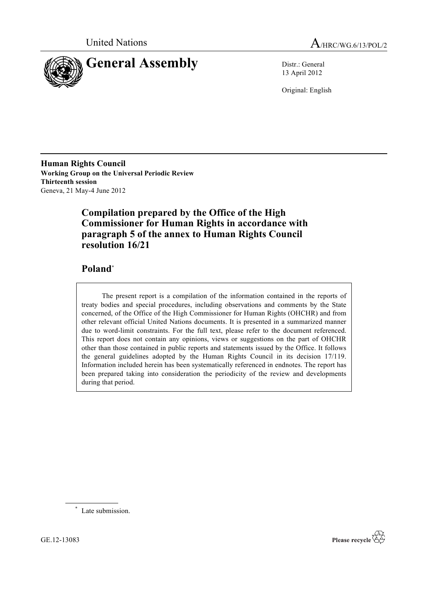



13 April 2012

Original: English

**Human Rights Council Working Group on the Universal Periodic Review Thirteenth session** Geneva, 21 May-4 June 2012

# **Compilation prepared by the Office of the High Commissioner for Human Rights in accordance with paragraph 5 of the annex to Human Rights Council resolution 16/21**

# **Poland**\*

The present report is a compilation of the information contained in the reports of treaty bodies and special procedures, including observations and comments by the State concerned, of the Office of the High Commissioner for Human Rights (OHCHR) and from other relevant official United Nations documents. It is presented in a summarized manner due to word-limit constraints. For the full text, please refer to the document referenced. This report does not contain any opinions, views or suggestions on the part of OHCHR other than those contained in public reports and statements issued by the Office. It follows the general guidelines adopted by the Human Rights Council in its decision 17/119. Information included herein has been systematically referenced in endnotes. The report has been prepared taking into consideration the periodicity of the review and developments during that period.

\* Late submission.

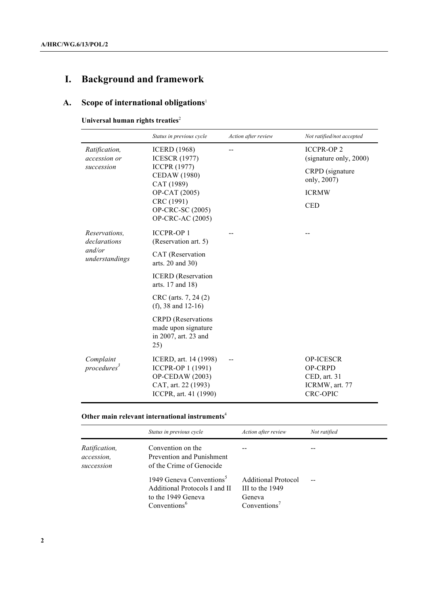# **I. Background and framework**

# **A. Scope of international obligations**<sup>1</sup>

**Universal human rights treaties**<sup>2</sup>

|                                      | Status in previous cycle                                                                                             | Action after review | Not ratified/not accepted                                                               |
|--------------------------------------|----------------------------------------------------------------------------------------------------------------------|---------------------|-----------------------------------------------------------------------------------------|
| Ratification,<br>accession or        | <b>ICERD</b> (1968)<br><b>ICESCR (1977)</b>                                                                          | $-$                 | <b>ICCPR-OP2</b><br>(signature only, 2000)                                              |
| succession                           | <b>ICCPR (1977)</b><br><b>CEDAW</b> (1980)<br>CAT (1989)                                                             |                     | CRPD (signature<br>only, 2007)                                                          |
|                                      | OP-CAT (2005)                                                                                                        |                     | <b>ICRMW</b>                                                                            |
|                                      | CRC (1991)<br>OP-CRC-SC (2005)<br><b>OP-CRC-AC (2005)</b>                                                            |                     | <b>CED</b>                                                                              |
| Reservations.<br>declarations        | <b>ICCPR-OP 1</b><br>(Reservation art. 5)                                                                            |                     |                                                                                         |
| and/or<br>understandings             | CAT (Reservation<br>arts. 20 and 30)                                                                                 |                     |                                                                                         |
|                                      | <b>ICERD</b> (Reservation<br>arts. 17 and 18)                                                                        |                     |                                                                                         |
|                                      | CRC (arts. 7, 24 (2)<br>(f), 38 and $12-16$ )                                                                        |                     |                                                                                         |
|                                      | <b>CRPD</b> (Reservations<br>made upon signature<br>in 2007, art. 23 and<br>25)                                      |                     |                                                                                         |
| Complaint<br>procedures <sup>3</sup> | ICERD, art. 14 (1998)<br>ICCPR-OP 1 (1991)<br><b>OP-CEDAW</b> (2003)<br>CAT, art. 22 (1993)<br>ICCPR, art. 41 (1990) |                     | <b>OP-ICESCR</b><br><b>OP-CRPD</b><br>CED, art. 31<br>ICRMW, art. 77<br><b>CRC-OPIC</b> |

#### **Other main relevant international instruments**<sup>4</sup>

|                                                                                                                         | Status in previous cycle                                                                                                | Action after review                                              | Not ratified |
|-------------------------------------------------------------------------------------------------------------------------|-------------------------------------------------------------------------------------------------------------------------|------------------------------------------------------------------|--------------|
| Convention on the<br>Ratification,<br>Prevention and Punishment<br>accession.<br>of the Crime of Genocide<br>succession |                                                                                                                         |                                                                  |              |
|                                                                                                                         | 1949 Geneva Conventions <sup>5</sup><br>Additional Protocols I and II<br>to the 1949 Geneva<br>Conventions <sup>6</sup> | Additional Protocol<br>III to the 1949<br>Geneva<br>Conventions' |              |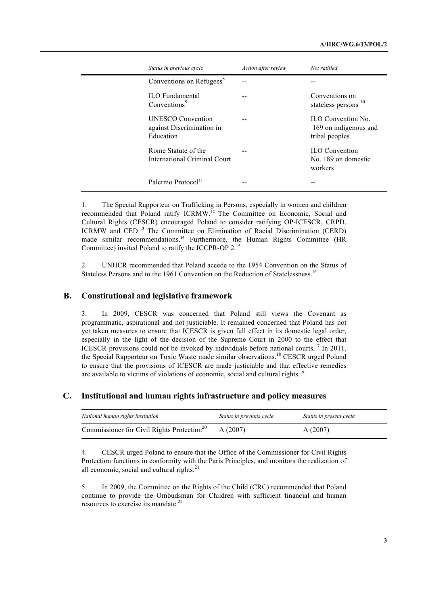| Status in previous cycle                                           | Action after review | Not ratified                                                        |
|--------------------------------------------------------------------|---------------------|---------------------------------------------------------------------|
| Conventions on Refugees <sup>8</sup>                               |                     |                                                                     |
| <b>ILO</b> Fundamental<br>Conventions <sup>9</sup>                 |                     | Conventions on<br>stateless persons <sup>10</sup>                   |
| <b>UNESCO</b> Convention<br>against Discrimination in<br>Education |                     | <b>ILO</b> Convention No<br>169 on indigenous and<br>tribal peoples |
| Rome Statute of the<br>International Criminal Court                |                     | <b>ILO</b> Convention<br>No. 189 on domestic<br>workers             |
| Palermo Protocol <sup>11</sup>                                     |                     | --                                                                  |

1. The Special Rapporteur on Trafficking in Persons, especially in women and children recommended that Poland ratify ICRMW.<sup>12</sup> The Committee on Economic, Social and Cultural Rights (CESCR) encouraged Poland to consider ratifying OP-ICESCR, CRPD, ICRMW and CED.13 The Committee on Elimination of Racial Discrimination (CERD) made similar recommendations.<sup>14</sup> Furthermore, the Human Rights Committee (HR Committee) invited Poland to ratify the ICCPR-OP 2.<sup>15</sup>

2. UNHCR recommended that Poland accede to the 1954 Convention on the Status of Stateless Persons and to the 1961 Convention on the Reduction of Statelessness.16

#### **B. Constitutional and legislative framework**

3. In 2009, CESCR was concerned that Poland still views the Covenant as programmatic, aspirational and not justiciable. It remained concerned that Poland has not yet taken measures to ensure that ICESCR is given full effect in its domestic legal order, especially in the light of the decision of the Supreme Court in 2000 to the effect that ICESCR provisions could not be invoked by individuals before national courts.<sup>17</sup> In 2011, the Special Rapporteur on Toxic Waste made similar observations.18 CESCR urged Poland to ensure that the provisions of ICESCR are made justiciable and that effective remedies are available to victims of violations of economic, social and cultural rights.<sup>19</sup>

#### **C. Institutional and human rights infrastructure and policy measures**

| National human rights institution                      | Status in previous cycle | Status in present cycle |
|--------------------------------------------------------|--------------------------|-------------------------|
| Commissioner for Civil Rights Protection <sup>20</sup> | A(2007)                  | A(2007)                 |

4. CESCR urged Poland to ensure that the Office of the Commissioner for Civil Rights Protection functions in conformity with the Paris Principles, and monitors the realization of all economic, social and cultural rights. $21$ 

5. In 2009, the Committee on the Rights of the Child (CRC) recommended that Poland continue to provide the Ombudsman for Children with sufficient financial and human resources to exercise its mandate.<sup>22</sup>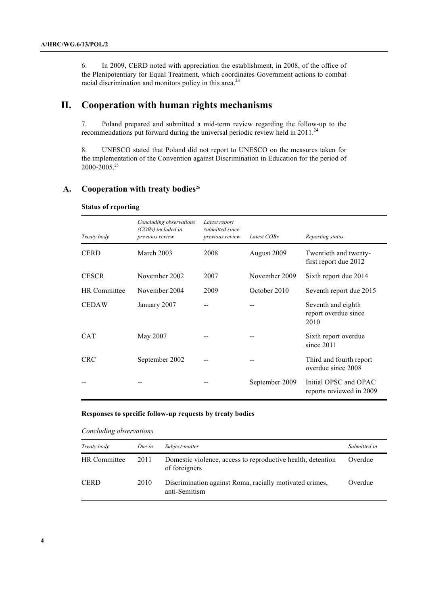6. In 2009, CERD noted with appreciation the establishment, in 2008, of the office of the Plenipotentiary for Equal Treatment, which coordinates Government actions to combat racial discrimination and monitors policy in this area.<sup>23</sup>

# **II. Cooperation with human rights mechanisms**

7. Poland prepared and submitted a mid-term review regarding the follow-up to the recommendations put forward during the universal periodic review held in 2011.<sup>24</sup>

8. UNESCO stated that Poland did not report to UNESCO on the measures taken for the implementation of the Convention against Discrimination in Education for the period of 2000-2005.25

#### A. Cooperation with treaty bodies<sup>26</sup>

| Treaty body         | Concluding observations<br>(COBs) included in<br>previous review | Latest report<br>submitted since<br>previous review | Latest COBs           | Reporting status                                   |
|---------------------|------------------------------------------------------------------|-----------------------------------------------------|-----------------------|----------------------------------------------------|
| <b>CERD</b>         | March 2003<br>2008<br>August 2009<br>first report due 2012       |                                                     | Twentieth and twenty- |                                                    |
| <b>CESCR</b>        | November 2002                                                    | 2007                                                | November 2009         | Sixth report due 2014                              |
| <b>HR</b> Committee | November 2004                                                    | 2009                                                | October 2010          | Seventh report due 2015                            |
| <b>CEDAW</b>        | January 2007                                                     |                                                     |                       | Seventh and eighth<br>report overdue since<br>2010 |
| <b>CAT</b>          | May 2007                                                         |                                                     |                       | Sixth report overdue<br>since $2011$               |
| <b>CRC</b>          | September 2002                                                   |                                                     |                       | Third and fourth report<br>overdue since 2008      |
|                     |                                                                  |                                                     | September 2009        | Initial OPSC and OPAC<br>reports reviewed in 2009  |

#### **Status of reporting**

#### **Responses to specific follow-up requests by treaty bodies**

#### *Concluding observations*

| Treaty body  | Due in | Subject-matter                                                               | Submitted in |
|--------------|--------|------------------------------------------------------------------------------|--------------|
| HR Committee | 2011   | Domestic violence, access to reproductive health, detention<br>of foreigners | Overdue      |
| <b>CERD</b>  | 2010   | Discrimination against Roma, racially motivated crimes,<br>anti-Semitism     | Overdue      |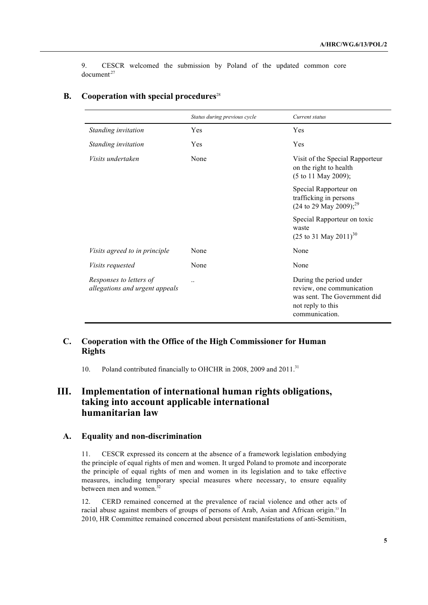9. CESCR welcomed the submission by Poland of the updated common core document*.*<sup>27</sup>

|                                                           | Status during previous cycle | Current status                                                                                                              |
|-----------------------------------------------------------|------------------------------|-----------------------------------------------------------------------------------------------------------------------------|
| Standing invitation                                       | Yes                          | Yes                                                                                                                         |
| Standing invitation                                       | Yes                          | Yes                                                                                                                         |
| <i>Visits undertaken</i>                                  | None                         | Visit of the Special Rapporteur<br>on the right to health<br>(5 to 11 May 2009);                                            |
|                                                           |                              | Special Rapporteur on<br>trafficking in persons<br>(24 to 29 May 2009); <sup>29</sup>                                       |
|                                                           |                              | Special Rapporteur on toxic<br>waste<br>$(25 \text{ to } 31 \text{ May } 2011)^{30}$                                        |
| Visits agreed to in principle                             | None                         | None                                                                                                                        |
| <i>Visits requested</i>                                   | None                         | None                                                                                                                        |
| Responses to letters of<br>allegations and urgent appeals | $\ddotsc$                    | During the period under<br>review, one communication<br>was sent. The Government did<br>not reply to this<br>communication. |

### **B. Cooperation with special procedures**<sup>28</sup>

#### **C. Cooperation with the Office of the High Commissioner for Human Rights**

10. Poland contributed financially to OHCHR in 2008, 2009 and 2011.<sup>31</sup>

# **III. Implementation of international human rights obligations, taking into account applicable international humanitarian law**

#### **A. Equality and non-discrimination**

11. CESCR expressed its concern at the absence of a framework legislation embodying the principle of equal rights of men and women. It urged Poland to promote and incorporate the principle of equal rights of men and women in its legislation and to take effective measures, including temporary special measures where necessary, to ensure equality between men and women.<sup>32</sup>

12. CERD remained concerned at the prevalence of racial violence and other acts of racial abuse against members of groups of persons of Arab, Asian and African origin.<sup>33</sup> In 2010, HR Committee remained concerned about persistent manifestations of anti-Semitism,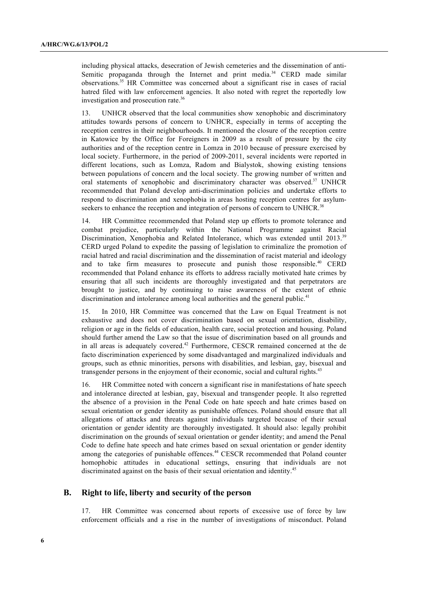including physical attacks, desecration of Jewish cemeteries and the dissemination of anti-Semitic propaganda through the Internet and print media.<sup>34</sup> CERD made similar observations.35 HR Committee was concerned about a significant rise in cases of racial hatred filed with law enforcement agencies. It also noted with regret the reportedly low investigation and prosecution rate.<sup>36</sup>

13. UNHCR observed that the local communities show xenophobic and discriminatory attitudes towards persons of concern to UNHCR, especially in terms of accepting the reception centres in their neighbourhoods. It mentioned the closure of the reception centre in Katowice by the Office for Foreigners in 2009 as a result of pressure by the city authorities and of the reception centre in Lomza in 2010 because of pressure exercised by local society. Furthermore, in the period of 2009-2011, several incidents were reported in different locations, such as Lomza, Radom and Bialystok, showing existing tensions between populations of concern and the local society. The growing number of written and oral statements of xenophobic and discriminatory character was observed.<sup>37</sup> UNHCR recommended that Poland develop anti-discrimination policies and undertake efforts to respond to discrimination and xenophobia in areas hosting reception centres for asylumseekers to enhance the reception and integration of persons of concern to UNHCR.<sup>38</sup>

14. HR Committee recommended that Poland step up efforts to promote tolerance and combat prejudice, particularly within the National Programme against Racial Discrimination, Xenophobia and Related Intolerance, which was extended until 2013.<sup>39</sup> CERD urged Poland to expedite the passing of legislation to criminalize the promotion of racial hatred and racial discrimination and the dissemination of racist material and ideology and to take firm measures to prosecute and punish those responsible.<sup>40</sup> CERD recommended that Poland enhance its efforts to address racially motivated hate crimes by ensuring that all such incidents are thoroughly investigated and that perpetrators are brought to justice, and by continuing to raise awareness of the extent of ethnic discrimination and intolerance among local authorities and the general public.<sup>41</sup>

15. In 2010, HR Committee was concerned that the Law on Equal Treatment is not exhaustive and does not cover discrimination based on sexual orientation, disability, religion or age in the fields of education, health care, social protection and housing. Poland should further amend the Law so that the issue of discrimination based on all grounds and in all areas is adequately covered.<sup>42</sup> Furthermore, CESCR remained concerned at the de facto discrimination experienced by some disadvantaged and marginalized individuals and groups, such as ethnic minorities, persons with disabilities, and lesbian, gay, bisexual and transgender persons in the enjoyment of their economic, social and cultural rights.<sup>43</sup>

16. HR Committee noted with concern a significant rise in manifestations of hate speech and intolerance directed at lesbian, gay, bisexual and transgender people. It also regretted the absence of a provision in the Penal Code on hate speech and hate crimes based on sexual orientation or gender identity as punishable offences. Poland should ensure that all allegations of attacks and threats against individuals targeted because of their sexual orientation or gender identity are thoroughly investigated. It should also: legally prohibit discrimination on the grounds of sexual orientation or gender identity; and amend the Penal Code to define hate speech and hate crimes based on sexual orientation or gender identity among the categories of punishable offences.44 CESCR recommended that Poland counter homophobic attitudes in educational settings, ensuring that individuals are not discriminated against on the basis of their sexual orientation and identity.<sup>45</sup>

#### **B. Right to life, liberty and security of the person**

17. HR Committee was concerned about reports of excessive use of force by law enforcement officials and a rise in the number of investigations of misconduct. Poland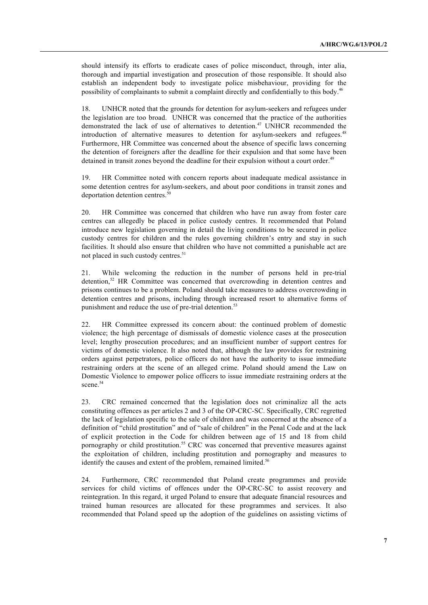should intensify its efforts to eradicate cases of police misconduct, through, inter alia, thorough and impartial investigation and prosecution of those responsible. It should also establish an independent body to investigate police misbehaviour, providing for the possibility of complainants to submit a complaint directly and confidentially to this body.46

18. UNHCR noted that the grounds for detention for asylum-seekers and refugees under the legislation are too broad. UNHCR was concerned that the practice of the authorities demonstrated the lack of use of alternatives to detention.<sup>47</sup> UNHCR recommended the introduction of alternative measures to detention for asylum-seekers and refugees.<sup>48</sup> Furthermore, HR Committee was concerned about the absence of specific laws concerning the detention of foreigners after the deadline for their expulsion and that some have been detained in transit zones beyond the deadline for their expulsion without a court order.<sup>49</sup>

19. HR Committee noted with concern reports about inadequate medical assistance in some detention centres for asylum-seekers, and about poor conditions in transit zones and deportation detention centres.<sup>50</sup>

20. HR Committee was concerned that children who have run away from foster care centres can allegedly be placed in police custody centres. It recommended that Poland introduce new legislation governing in detail the living conditions to be secured in police custody centres for children and the rules governing children's entry and stay in such facilities. It should also ensure that children who have not committed a punishable act are not placed in such custody centres.<sup>51</sup>

21. While welcoming the reduction in the number of persons held in pre-trial detention, 52 HR Committee was concerned that overcrowding in detention centres and prisons continues to be a problem. Poland should take measures to address overcrowding in detention centres and prisons, including through increased resort to alternative forms of punishment and reduce the use of pre-trial detention.<sup>53</sup>

22. HR Committee expressed its concern about: the continued problem of domestic violence; the high percentage of dismissals of domestic violence cases at the prosecution level; lengthy prosecution procedures; and an insufficient number of support centres for victims of domestic violence. It also noted that, although the law provides for restraining orders against perpetrators, police officers do not have the authority to issue immediate restraining orders at the scene of an alleged crime. Poland should amend the Law on Domestic Violence to empower police officers to issue immediate restraining orders at the scene.<sup>54</sup>

23. CRC remained concerned that the legislation does not criminalize all the acts constituting offences as per articles 2 and 3 of the OP-CRC-SC. Specifically, CRC regretted the lack of legislation specific to the sale of children and was concerned at the absence of a definition of "child prostitution" and of "sale of children" in the Penal Code and at the lack of explicit protection in the Code for children between age of 15 and 18 from child pornography or child prostitution.<sup>55</sup> CRC was concerned that preventive measures against the exploitation of children, including prostitution and pornography and measures to identify the causes and extent of the problem, remained limited.<sup>56</sup>

24. Furthermore, CRC recommended that Poland create programmes and provide services for child victims of offences under the OP-CRC-SC to assist recovery and reintegration. In this regard, it urged Poland to ensure that adequate financial resources and trained human resources are allocated for these programmes and services. It also recommended that Poland speed up the adoption of the guidelines on assisting victims of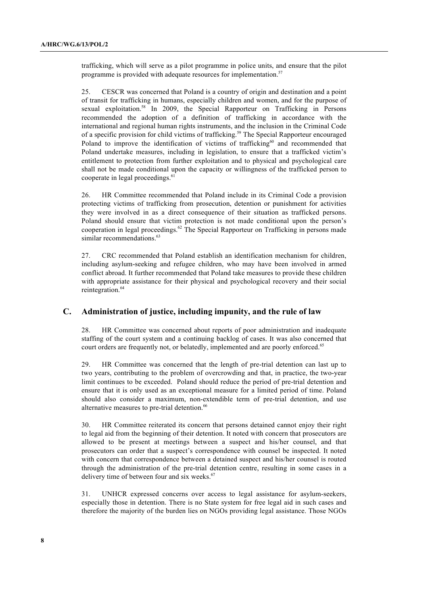trafficking, which will serve as a pilot programme in police units, and ensure that the pilot programme is provided with adequate resources for implementation.<sup>57</sup>

25. CESCR was concerned that Poland is a country of origin and destination and a point of transit for trafficking in humans, especially children and women, and for the purpose of sexual exploitation.<sup>58</sup> In 2009, the Special Rapporteur on Trafficking in Persons recommended the adoption of a definition of trafficking in accordance with the international and regional human rights instruments, and the inclusion in the Criminal Code of a specific provision for child victims of trafficking.59 The Special Rapporteur encouraged Poland to improve the identification of victims of trafficking $60$  and recommended that Poland undertake measures, including in legislation, to ensure that a trafficked victim's entitlement to protection from further exploitation and to physical and psychological care shall not be made conditional upon the capacity or willingness of the trafficked person to cooperate in legal proceedings. 61

26. HR Committee recommended that Poland include in its Criminal Code a provision protecting victims of trafficking from prosecution, detention or punishment for activities they were involved in as a direct consequence of their situation as trafficked persons. Poland should ensure that victim protection is not made conditional upon the person's cooperation in legal proceedings.<sup>62</sup> The Special Rapporteur on Trafficking in persons made similar recommendations.<sup>63</sup>

27. CRC recommended that Poland establish an identification mechanism for children, including asylum-seeking and refugee children, who may have been involved in armed conflict abroad. It further recommended that Poland take measures to provide these children with appropriate assistance for their physical and psychological recovery and their social reintegration.<sup>64</sup>

#### **C. Administration of justice, including impunity, and the rule of law**

28. HR Committee was concerned about reports of poor administration and inadequate staffing of the court system and a continuing backlog of cases. It was also concerned that court orders are frequently not, or belatedly, implemented and are poorly enforced.<sup>65</sup>

29. HR Committee was concerned that the length of pre-trial detention can last up to two years, contributing to the problem of overcrowding and that, in practice, the two-year limit continues to be exceeded. Poland should reduce the period of pre-trial detention and ensure that it is only used as an exceptional measure for a limited period of time. Poland should also consider a maximum, non-extendible term of pre-trial detention, and use alternative measures to pre-trial detention.<sup>66</sup>

30. HR Committee reiterated its concern that persons detained cannot enjoy their right to legal aid from the beginning of their detention. It noted with concern that prosecutors are allowed to be present at meetings between a suspect and his/her counsel, and that prosecutors can order that a suspect's correspondence with counsel be inspected. It noted with concern that correspondence between a detained suspect and his/her counsel is routed through the administration of the pre-trial detention centre, resulting in some cases in a delivery time of between four and six weeks.<sup>67</sup>

31. UNHCR expressed concerns over access to legal assistance for asylum-seekers, especially those in detention. There is no State system for free legal aid in such cases and therefore the majority of the burden lies on NGOs providing legal assistance. Those NGOs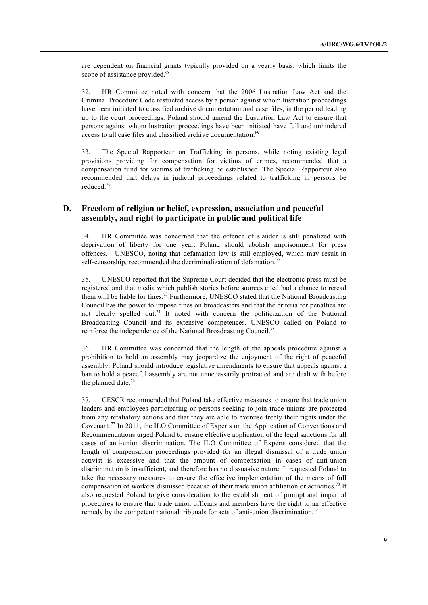are dependent on financial grants typically provided on a yearly basis, which limits the scope of assistance provided.<sup>68</sup>

32. HR Committee noted with concern that the 2006 Lustration Law Act and the Criminal Procedure Code restricted access by a person against whom lustration proceedings have been initiated to classified archive documentation and case files, in the period leading up to the court proceedings. Poland should amend the Lustration Law Act to ensure that persons against whom lustration proceedings have been initiated have full and unhindered access to all case files and classified archive documentation.<sup>69</sup>

33. The Special Rapporteur on Trafficking in persons, while noting existing legal provisions providing for compensation for victims of crimes, recommended that a compensation fund for victims of trafficking be established. The Special Rapporteur also recommended that delays in judicial proceedings related to trafficking in persons be reduced. 70

#### **D. Freedom of religion or belief, expression, association and peaceful assembly, and right to participate in public and political life**

34. HR Committee was concerned that the offence of slander is still penalized with deprivation of liberty for one year. Poland should abolish imprisonment for press offences.71 UNESCO, noting that defamation law is still employed, which may result in self-censorship, recommended the decriminalization of defamation.<sup>72</sup>

35. UNESCO reported that the Supreme Court decided that the electronic press must be registered and that media which publish stories before sources cited had a chance to reread them will be liable for fines.<sup>73</sup> Furthermore, UNESCO stated that the National Broadcasting Council has the power to impose fines on broadcasters and that the criteria for penalties are not clearly spelled out.74 It noted with concern the politicization of the National Broadcasting Council and its extensive competences. UNESCO called on Poland to reinforce the independence of the National Broadcasting Council.75

36. HR Committee was concerned that the length of the appeals procedure against a prohibition to hold an assembly may jeopardize the enjoyment of the right of peaceful assembly. Poland should introduce legislative amendments to ensure that appeals against a ban to hold a peaceful assembly are not unnecessarily protracted and are dealt with before the planned date.<sup>76</sup>

37. CESCR recommended that Poland take effective measures to ensure that trade union leaders and employees participating or persons seeking to join trade unions are protected from any retaliatory actions and that they are able to exercise freely their rights under the Covenant.77 In 2011, the ILO Committee of Experts on the Application of Conventions and Recommendations urged Poland to ensure effective application of the legal sanctions for all cases of anti-union discrimination. The ILO Committee of Experts considered that the length of compensation proceedings provided for an illegal dismissal of a trade union activist is excessive and that the amount of compensation in cases of anti-union discrimination is insufficient, and therefore has no dissuasive nature. It requested Poland to take the necessary measures to ensure the effective implementation of the means of full compensation of workers dismissed because of their trade union affiliation or activities.<sup>78</sup> It also requested Poland to give consideration to the establishment of prompt and impartial procedures to ensure that trade union officials and members have the right to an effective remedy by the competent national tribunals for acts of anti-union discrimination.<sup>79</sup>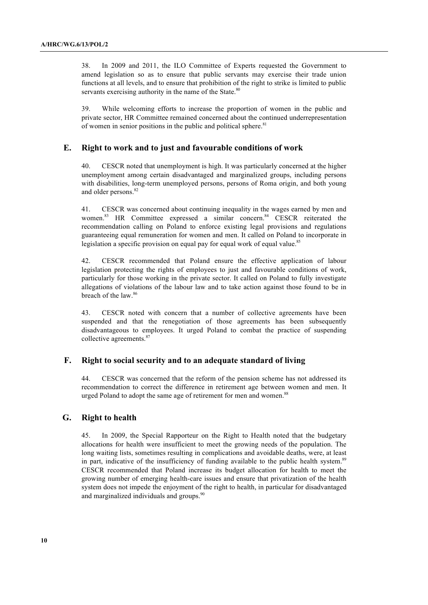38. In 2009 and 2011, the ILO Committee of Experts requested the Government to amend legislation so as to ensure that public servants may exercise their trade union functions at all levels, and to ensure that prohibition of the right to strike is limited to public servants exercising authority in the name of the State.<sup>80</sup>

39. While welcoming efforts to increase the proportion of women in the public and private sector, HR Committee remained concerned about the continued underrepresentation of women in senior positions in the public and political sphere.<sup>81</sup>

#### **E. Right to work and to just and favourable conditions of work**

40. CESCR noted that unemployment is high. It was particularly concerned at the higher unemployment among certain disadvantaged and marginalized groups, including persons with disabilities, long-term unemployed persons, persons of Roma origin, and both young and older persons.<sup>82</sup>

41. CESCR was concerned about continuing inequality in the wages earned by men and women.<sup>83</sup> HR Committee expressed a similar concern.<sup>84</sup> CESCR reiterated the recommendation calling on Poland to enforce existing legal provisions and regulations guaranteeing equal remuneration for women and men. It called on Poland to incorporate in legislation a specific provision on equal pay for equal work of equal value.<sup>85</sup>

42. CESCR recommended that Poland ensure the effective application of labour legislation protecting the rights of employees to just and favourable conditions of work, particularly for those working in the private sector. It called on Poland to fully investigate allegations of violations of the labour law and to take action against those found to be in breach of the law.<sup>86</sup>

43. CESCR noted with concern that a number of collective agreements have been suspended and that the renegotiation of those agreements has been subsequently disadvantageous to employees. It urged Poland to combat the practice of suspending collective agreements.<sup>87</sup>

#### **F. Right to social security and to an adequate standard of living**

44. CESCR was concerned that the reform of the pension scheme has not addressed its recommendation to correct the difference in retirement age between women and men. It urged Poland to adopt the same age of retirement for men and women.<sup>88</sup>

#### **G. Right to health**

45. In 2009, the Special Rapporteur on the Right to Health noted that the budgetary allocations for health were insufficient to meet the growing needs of the population. The long waiting lists, sometimes resulting in complications and avoidable deaths, were, at least in part, indicative of the insufficiency of funding available to the public health system.<sup>89</sup> CESCR recommended that Poland increase its budget allocation for health to meet the growing number of emerging health-care issues and ensure that privatization of the health system does not impede the enjoyment of the right to health, in particular for disadvantaged and marginalized individuals and groups.<sup>90</sup>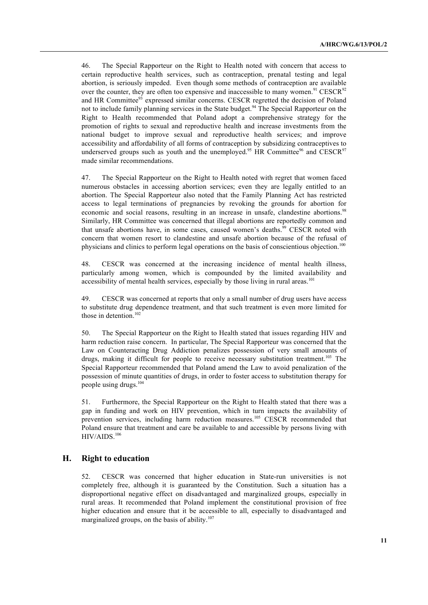46. The Special Rapporteur on the Right to Health noted with concern that access to certain reproductive health services, such as contraception, prenatal testing and legal abortion, is seriously impeded. Even though some methods of contraception are available over the counter, they are often too expensive and inaccessible to many women.<sup>91</sup> CESCR<sup>92</sup> and HR Committee<sup>93</sup> expressed similar concerns. CESCR regretted the decision of Poland not to include family planning services in the State budget.<sup>94</sup> The Special Rapporteur on the Right to Health recommended that Poland adopt a comprehensive strategy for the promotion of rights to sexual and reproductive health and increase investments from the national budget to improve sexual and reproductive health services; and improve accessibility and affordability of all forms of contraception by subsidizing contraceptives to underserved groups such as youth and the unemployed.<sup>95</sup> HR Committee<sup>96</sup> and CESCR<sup>97</sup> made similar recommendations.

47. The Special Rapporteur on the Right to Health noted with regret that women faced numerous obstacles in accessing abortion services; even they are legally entitled to an abortion. The Special Rapporteur also noted that the Family Planning Act has restricted access to legal terminations of pregnancies by revoking the grounds for abortion for economic and social reasons, resulting in an increase in unsafe, clandestine abortions.<sup>98</sup> Similarly, HR Committee was concerned that illegal abortions are reportedly common and that unsafe abortions have, in some cases, caused women's deaths.<sup>99</sup> CESCR noted with concern that women resort to clandestine and unsafe abortion because of the refusal of physicians and clinics to perform legal operations on the basis of conscientious objection.<sup>100</sup>

48. CESCR was concerned at the increasing incidence of mental health illness, particularly among women, which is compounded by the limited availability and accessibility of mental health services, especially by those living in rural areas.<sup>101</sup>

49. CESCR was concerned at reports that only a small number of drug users have access to substitute drug dependence treatment, and that such treatment is even more limited for those in detention.<sup>102</sup>

50. The Special Rapporteur on the Right to Health stated that issues regarding HIV and harm reduction raise concern. In particular, The Special Rapporteur was concerned that the Law on Counteracting Drug Addiction penalizes possession of very small amounts of drugs, making it difficult for people to receive necessary substitution treatment.<sup>103</sup> The Special Rapporteur recommended that Poland amend the Law to avoid penalization of the possession of minute quantities of drugs, in order to foster access to substitution therapy for people using drugs.104

51. Furthermore, the Special Rapporteur on the Right to Health stated that there was a gap in funding and work on HIV prevention, which in turn impacts the availability of prevention services, including harm reduction measures.<sup>105</sup> CESCR recommended that Poland ensure that treatment and care be available to and accessible by persons living with HIV/AIDS.<sup>106</sup>

#### **H. Right to education**

52. CESCR was concerned that higher education in State-run universities is not completely free, although it is guaranteed by the Constitution. Such a situation has a disproportional negative effect on disadvantaged and marginalized groups, especially in rural areas. It recommended that Poland implement the constitutional provision of free higher education and ensure that it be accessible to all, especially to disadvantaged and marginalized groups, on the basis of ability.<sup>107</sup>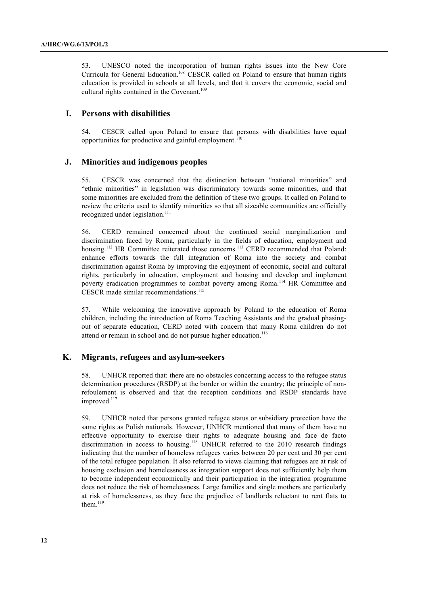53. UNESCO noted the incorporation of human rights issues into the New Core Curricula for General Education.<sup>108</sup> CESCR called on Poland to ensure that human rights education is provided in schools at all levels, and that it covers the economic, social and cultural rights contained in the Covenant.<sup>109</sup>

#### **I. Persons with disabilities**

54. CESCR called upon Poland to ensure that persons with disabilities have equal opportunities for productive and gainful employment.<sup>110</sup>

#### **J. Minorities and indigenous peoples**

55. CESCR was concerned that the distinction between "national minorities" and "ethnic minorities" in legislation was discriminatory towards some minorities, and that some minorities are excluded from the definition of these two groups. It called on Poland to review the criteria used to identify minorities so that all sizeable communities are officially recognized under legislation.<sup>111</sup>

56. CERD remained concerned about the continued social marginalization and discrimination faced by Roma, particularly in the fields of education, employment and housing.<sup>112</sup> HR Committee reiterated those concerns.<sup>113</sup> CERD recommended that Poland: enhance efforts towards the full integration of Roma into the society and combat discrimination against Roma by improving the enjoyment of economic, social and cultural rights, particularly in education, employment and housing and develop and implement poverty eradication programmes to combat poverty among Roma.<sup>114</sup> HR Committee and CESCR made similar recommendations.<sup>115</sup>

57. While welcoming the innovative approach by Poland to the education of Roma children, including the introduction of Roma Teaching Assistants and the gradual phasingout of separate education, CERD noted with concern that many Roma children do not attend or remain in school and do not pursue higher education.<sup>116</sup>

#### **K. Migrants, refugees and asylum-seekers**

58. UNHCR reported that: there are no obstacles concerning access to the refugee status determination procedures (RSDP) at the border or within the country; the principle of nonrefoulement is observed and that the reception conditions and RSDP standards have improved.<sup>117</sup>

59. UNHCR noted that persons granted refugee status or subsidiary protection have the same rights as Polish nationals. However, UNHCR mentioned that many of them have no effective opportunity to exercise their rights to adequate housing and face de facto discrimination in access to housing.<sup>118</sup> UNHCR referred to the 2010 research findings indicating that the number of homeless refugees varies between 20 per cent and 30 per cent of the total refugee population. It also referred to views claiming that refugees are at risk of housing exclusion and homelessness as integration support does not sufficiently help them to become independent economically and their participation in the integration programme does not reduce the risk of homelessness. Large families and single mothers are particularly at risk of homelessness, as they face the prejudice of landlords reluctant to rent flats to them. $119$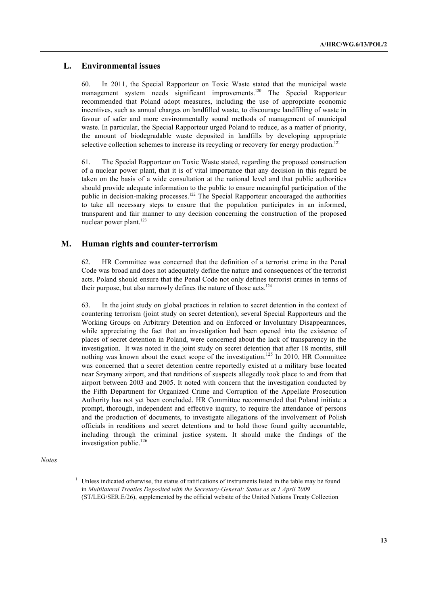#### **L. Environmental issues**

60. In 2011, the Special Rapporteur on Toxic Waste stated that the municipal waste management system needs significant improvements.<sup>120</sup> The Special Rapporteur recommended that Poland adopt measures, including the use of appropriate economic incentives, such as annual charges on landfilled waste, to discourage landfilling of waste in favour of safer and more environmentally sound methods of management of municipal waste. In particular, the Special Rapporteur urged Poland to reduce, as a matter of priority, the amount of biodegradable waste deposited in landfills by developing appropriate selective collection schemes to increase its recycling or recovery for energy production.<sup>121</sup>

61. The Special Rapporteur on Toxic Waste stated, regarding the proposed construction of a nuclear power plant, that it is of vital importance that any decision in this regard be taken on the basis of a wide consultation at the national level and that public authorities should provide adequate information to the public to ensure meaningful participation of the public in decision-making processes.<sup>122</sup> The Special Rapporteur encouraged the authorities to take all necessary steps to ensure that the population participates in an informed, transparent and fair manner to any decision concerning the construction of the proposed nuclear power plant.<sup>123</sup>

#### **M. Human rights and counter-terrorism**

62. HR Committee was concerned that the definition of a terrorist crime in the Penal Code was broad and does not adequately define the nature and consequences of the terrorist acts. Poland should ensure that the Penal Code not only defines terrorist crimes in terms of their purpose, but also narrowly defines the nature of those acts.<sup>124</sup>

63. In the joint study on global practices in relation to secret detention in the context of countering terrorism (joint study on secret detention), several Special Rapporteurs and the Working Groups on Arbitrary Detention and on Enforced or Involuntary Disappearances, while appreciating the fact that an investigation had been opened into the existence of places of secret detention in Poland, were concerned about the lack of transparency in the investigation. It was noted in the joint study on secret detention that after 18 months, still nothing was known about the exact scope of the investigation.<sup>125</sup> In 2010, HR Committee was concerned that a secret detention centre reportedly existed at a military base located near Szymany airport, and that renditions of suspects allegedly took place to and from that airport between 2003 and 2005. It noted with concern that the investigation conducted by the Fifth Department for Organized Crime and Corruption of the Appellate Prosecution Authority has not yet been concluded. HR Committee recommended that Poland initiate a prompt, thorough, independent and effective inquiry, to require the attendance of persons and the production of documents, to investigate allegations of the involvement of Polish officials in renditions and secret detentions and to hold those found guilty accountable, including through the criminal justice system. It should make the findings of the investigation public.<sup>126</sup>

*Notes*

<sup>&</sup>lt;sup>1</sup> Unless indicated otherwise, the status of ratifications of instruments listed in the table may be found in *Multilateral Treaties Deposited with the Secretary-General: Status as at 1 April 2009* (ST/LEG/SER.E/26), supplemented by the official website of the United Nations Treaty Collection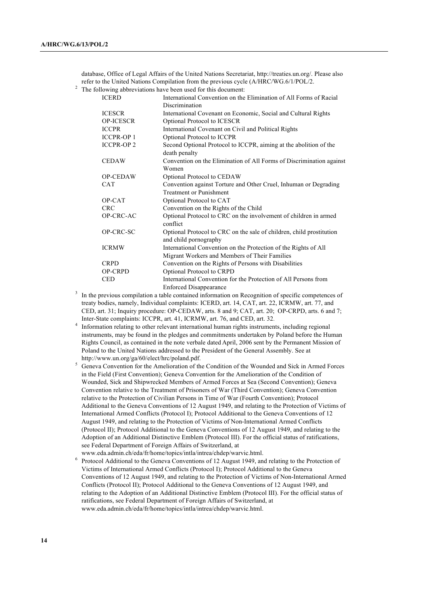database, Office of Legal Affairs of the United Nations Secretariat, http://treaties.un.org/. Please also refer to the United Nations Compilation from the previous cycle (A/HRC/WG.6/1/POL/2.

<sup>2</sup> The following abbreviations have been used for this document:

| <b>ICERD</b>      | International Convention on the Elimination of All Forms of Racial   |
|-------------------|----------------------------------------------------------------------|
|                   | Discrimination                                                       |
| <b>ICESCR</b>     | International Covenant on Economic, Social and Cultural Rights       |
| <b>OP-ICESCR</b>  | Optional Protocol to ICESCR                                          |
| <b>ICCPR</b>      | International Covenant on Civil and Political Rights                 |
| <b>ICCPR-OP 1</b> | Optional Protocol to ICCPR                                           |
| <b>ICCPR-OP 2</b> | Second Optional Protocol to ICCPR, aiming at the abolition of the    |
|                   | death penalty                                                        |
| <b>CEDAW</b>      | Convention on the Elimination of All Forms of Discrimination against |
|                   | Women                                                                |
| <b>OP-CEDAW</b>   | Optional Protocol to CEDAW                                           |
| <b>CAT</b>        | Convention against Torture and Other Cruel, Inhuman or Degrading     |
|                   | <b>Treatment or Punishment</b>                                       |
| OP-CAT            | Optional Protocol to CAT                                             |
| <b>CRC</b>        | Convention on the Rights of the Child                                |
| OP-CRC-AC         | Optional Protocol to CRC on the involvement of children in armed     |
|                   | conflict                                                             |
| OP-CRC-SC         | Optional Protocol to CRC on the sale of children, child prostitution |
|                   | and child pornography                                                |
| <b>ICRMW</b>      | International Convention on the Protection of the Rights of All      |
|                   | Migrant Workers and Members of Their Families                        |
| <b>CRPD</b>       | Convention on the Rights of Persons with Disabilities                |
| <b>OP-CRPD</b>    | Optional Protocol to CRPD                                            |
| <b>CED</b>        | International Convention for the Protection of All Persons from      |
|                   | <b>Enforced Disappearance</b>                                        |

<sup>3</sup> In the previous compilation a table contained information on Recognition of specific competences of treaty bodies, namely, Individual complaints: ICERD, art. 14, CAT, art. 22, ICRMW, art. 77, and CED, art. 31; Inquiry procedure: OP-CEDAW, arts. 8 and 9; CAT, art. 20; OP-CRPD, arts. 6 and 7;

Inter-State complaints: ICCPR, art. 41, ICRMW, art. 76, and CED, art. 32.<br>4 Information relating to other relevant international human rights instruments, including regional instruments, may be found in the pledges and commitments undertaken by Poland before the Human Rights Council, as contained in the note verbale dated April, 2006 sent by the Permanent Mission of Poland to the United Nations addressed to the President of the General Assembly. See at http://www.un.org/ga/60/elect/hrc/poland.pdf.

<sup>5</sup> Geneva Convention for the Amelioration of the Condition of the Wounded and Sick in Armed Forces in the Field (First Convention); Geneva Convention for the Amelioration of the Condition of Wounded, Sick and Shipwrecked Members of Armed Forces at Sea (Second Convention); Geneva Convention relative to the Treatment of Prisoners of War (Third Convention); Geneva Convention relative to the Protection of Civilian Persons in Time of War (Fourth Convention); Protocol Additional to the Geneva Conventions of 12 August 1949, and relating to the Protection of Victims of International Armed Conflicts (Protocol I); Protocol Additional to the Geneva Conventions of 12 August 1949, and relating to the Protection of Victims of Non-International Armed Conflicts (Protocol II); Protocol Additional to the Geneva Conventions of 12 August 1949, and relating to the Adoption of an Additional Distinctive Emblem (Protocol III). For the official status of ratifications, see Federal Department of Foreign Affairs of Switzerland, at www.eda.admin.ch/eda/fr/home/topics/intla/intrea/chdep/warvic.html.

<sup>6</sup> Protocol Additional to the Geneva Conventions of 12 August 1949, and relating to the Protection of Victims of International Armed Conflicts (Protocol I); Protocol Additional to the Geneva Conventions of 12 August 1949, and relating to the Protection of Victims of Non-International Armed Conflicts (Protocol II); Protocol Additional to the Geneva Conventions of 12 August 1949, and relating to the Adoption of an Additional Distinctive Emblem (Protocol III). For the official status of ratifications, see Federal Department of Foreign Affairs of Switzerland, at www.eda.admin.ch/eda/fr/home/topics/intla/intrea/chdep/warvic.html.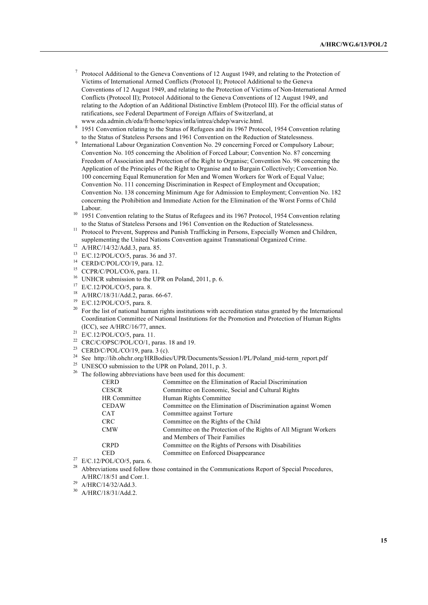- <sup>7</sup> Protocol Additional to the Geneva Conventions of 12 August 1949, and relating to the Protection of Victims of International Armed Conflicts (Protocol I); Protocol Additional to the Geneva Conventions of 12 August 1949, and relating to the Protection of Victims of Non-International Armed Conflicts (Protocol II); Protocol Additional to the Geneva Conventions of 12 August 1949, and relating to the Adoption of an Additional Distinctive Emblem (Protocol III). For the official status of ratifications, see Federal Department of Foreign Affairs of Switzerland, at www.eda.admin.ch/eda/fr/home/topics/intla/intrea/chdep/warvic.html.
- <sup>8</sup> 1951 Convention relating to the Status of Refugees and its 1967 Protocol, 1954 Convention relating to the Status of Stateless Persons and 1961 Convention on the Reduction of Statelessness.
- <sup>9</sup> International Labour Organization Convention No. 29 concerning Forced or Compulsory Labour; Convention No. 105 concerning the Abolition of Forced Labour; Convention No. 87 concerning Freedom of Association and Protection of the Right to Organise; Convention No. 98 concerning the Application of the Principles of the Right to Organise and to Bargain Collectively; Convention No. 100 concerning Equal Remuneration for Men and Women Workers for Work of Equal Value; Convention No. 111 concerning Discrimination in Respect of Employment and Occupation; Convention No. 138 concerning Minimum Age for Admission to Employment; Convention No. 182 concerning the Prohibition and Immediate Action for the Elimination of the Worst Forms of Child Labour.
- <sup>10</sup> 1951 Convention relating to the Status of Refugees and its 1967 Protocol, 1954 Convention relating to the Status of Stateless Persons and 1961 Convention on the Reduction of Statelessness.
- <sup>11</sup> Protocol to Prevent, Suppress and Punish Trafficking in Persons, Especially Women and Children, supplementing the United Nations Convention against Transnational Organized Crime.
- $12$  A/HRC/14/32/Add.3, para. 85.
- <sup>13</sup> E/C.12/POL/CO/5, paras. 36 and 37.
- <sup>14</sup> CERD/C/POL/CO/19, para. 12.
- <sup>15</sup> CCPR/C/POL/CO/6, para. 11.
- <sup>16</sup> UNHCR submission to the UPR on Poland, 2011, p. 6.
- <sup>17</sup> E/C.12/POL/CO/5, para. 8.
- <sup>18</sup> A/HRC/18/31/Add.2, paras. 66-67.
- <sup>19</sup> E/C.12/POL/CO/5, para. 8.
- <sup>20</sup> For the list of national human rights institutions with accreditation status granted by the International Coordination Committee of National Institutions for the Promotion and Protection of Human Rights (ICC), see A/HRC/16/77, annex.
- <sup>21</sup> E/C.12/POL/CO/5, para. 11.
- <sup>22</sup> CRC/C/OPSC/POL/CO/1, paras. 18 and 19.
- <sup>23</sup> CERD/C/POL/CO/19, para. 3 (c).
- <sup>24</sup> See http://lib.ohchr.org/HRBodies/UPR/Documents/Session1/PL/Poland\_mid-term\_report.pdf
- <sup>25</sup> UNESCO submission to the UPR on Poland, 2011, p. 3.
- $26$  The following abbreviations have been used for this document:

| <b>CERD</b>         | Committee on the Elimination of Racial Discrimination            |  |
|---------------------|------------------------------------------------------------------|--|
| <b>CESCR</b>        | Committee on Economic, Social and Cultural Rights                |  |
| <b>HR</b> Committee | Human Rights Committee                                           |  |
| <b>CEDAW</b>        | Committee on the Elimination of Discrimination against Women     |  |
| <b>CAT</b>          | Committee against Torture                                        |  |
| <b>CRC</b>          | Committee on the Rights of the Child                             |  |
| <b>CMW</b>          | Committee on the Protection of the Rights of All Migrant Workers |  |
|                     | and Members of Their Families                                    |  |
| <b>CRPD</b>         | Committee on the Rights of Persons with Disabilities             |  |
| CED                 | Committee on Enforced Disappearance                              |  |
|                     |                                                                  |  |

- <sup>27</sup> E/C.12/POL/CO/5, para. 6.<br><sup>28</sup> Abbraviations used follow.
- Abbreviations used follow those contained in the Communications Report of Special Procedures, A/HRC/18/51 and Corr.1.<br> $^{29}$  A/HRC/14/32/Add.3.
- 
- <sup>30</sup> A/HRC/18/31/Add.2.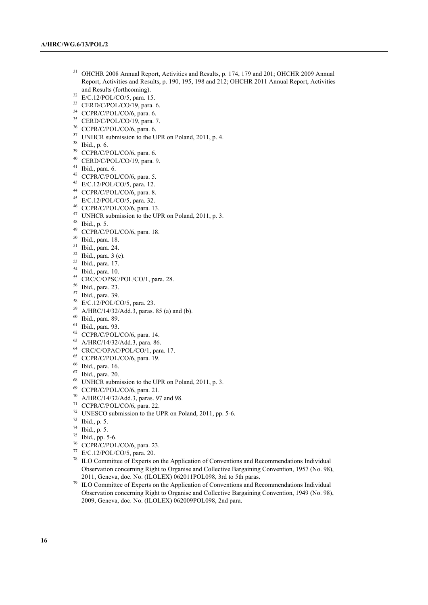- OHCHR 2008 Annual Report, Activities and Results, p. 174, 179 and 201; OHCHR 2009 Annual Report, Activities and Results, p. 190, 195, 198 and 212; OHCHR 2011 Annual Report, Activities and Results (forthcoming).
- E/C.12/POL/CO/5, para. 15.
- CERD/C/POL/CO/19, para. 6.
- <sup>34</sup> CCPR/C/POL/CO/6, para. 6.
- CERD/C/POL/CO/19, para. 7.
- <sup>36</sup> CCPR/C/POL/CO/6, para. 6.
- <sup>37</sup> UNHCR submission to the UPR on Poland, 2011, p. 4.
- Ibid., p. 6.
- <sup>39</sup> CCPR/C/POL/CO/6, para. 6.
- CERD/C/POL/CO/19, para. 9.
- Ibid., para. 6.
- CCPR/C/POL/CO/6, para. 5.
- E/C.12/POL/CO/5, para. 12.
- CCPR/C/POL/CO/6, para. 8.
- E/C.12/POL/CO/5, para. 32.
- CCPR/C/POL/CO/6, para. 13.
- UNHCR submission to the UPR on Poland, 2011, p. 3.
- Ibid., p. 5.
- CCPR/C/POL/CO/6, para. 18.
- Ibid., para. 18.
- Ibid., para. 24.
- Ibid., para. 3 (c).
- Ibid., para. 17.
- Ibid., para. 10.
- CRC/C/OPSC/POL/CO/1, para. 28.
- Ibid., para. 23.
- Ibid., para. 39.
- $^{58}$  E/C.12/POL/CO/5, para. 23.
- $A/HRC/14/32/Add.3$ , paras. 85 (a) and (b).
- Ibid., para. 89.
- Ibid., para. 93.
- CCPR/C/POL/CO/6, para. 14.
- A/HRC/14/32/Add.3, para. 86.
- CRC/C/OPAC/POL/CO/1, para. 17.
- CCPR/C/POL/CO/6, para. 19.
- Ibid., para. 16.
- Ibid., para. 20.
- UNHCR submission to the UPR on Poland, 2011, p. 3.
- CCPR/C/POL/CO/6, para. 21.
- A/HRC/14/32/Add.3, paras. 97 and 98.
- CCPR/C/POL/CO/6, para. 22.
- UNESCO submission to the UPR on Poland, 2011, pp. 5-6.
- Ibid., p. 5.
- Ibid., p. 5.
- Ibid., pp. 5-6.
- CCPR/C/POL/CO/6, para. 23.
- E/C.12/POL/CO/5, para. 20.
- ILO Committee of Experts on the Application of Conventions and Recommendations Individual Observation concerning Right to Organise and Collective Bargaining Convention, 1957 (No. 98), 2011, Geneva, doc. No. (ILOLEX) 062011POL098, 3rd to 5th paras.
- <sup>79</sup> ILO Committee of Experts on the Application of Conventions and Recommendations Individual Observation concerning Right to Organise and Collective Bargaining Convention, 1949 (No. 98), 2009, Geneva, doc. No. (ILOLEX) 062009POL098, 2nd para.